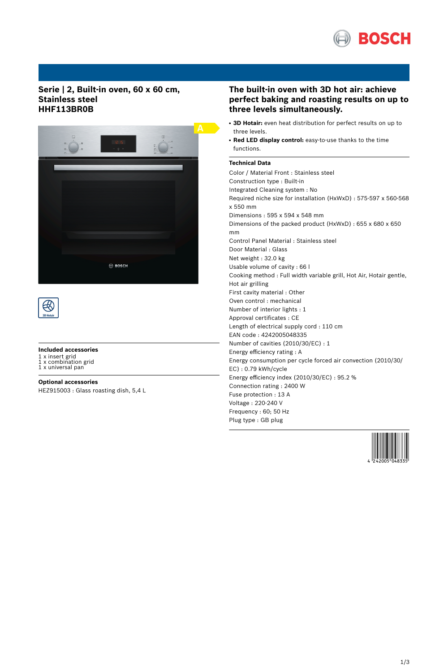

## **Serie | 2, Built-in oven, 60 x 60 cm, Stainless steel HHF113BR0B**





## **Included accessories**

1 x insert grid 1 x combination grid 1 x universal pan

- 
- **Optional accessories** HEZ915003 : Glass roasting dish, 5,4 L

# **The built-in oven with 3D hot air: achieve perfect baking and roasting results on up to three levels simultaneously.**

- 3D Hotair: even heat distribution for perfect results on up to three levels.
- **Red LED display control:** easy-to-use thanks to the time functions.

## **Technical Data**

Color / Material Front : Stainless steel Construction type : Built-in Integrated Cleaning system : No Required niche size for installation (HxWxD) : 575-597 x 560-568 x 550 mm Dimensions : 595 x 594 x 548 mm Dimensions of the packed product (HxWxD) : 655 x 680 x 650 mm Control Panel Material : Stainless steel Door Material : Glass Net weight : 32.0 kg Usable volume of cavity : 66 l Cooking method : Full width variable grill, Hot Air, Hotair gentle, Hot air grilling First cavity material : Other Oven control : mechanical Number of interior lights : 1 Approval certificates : CE Length of electrical supply cord : 110 cm EAN code : 4242005048335 Number of cavities (2010/30/EC) : 1 Energy efficiency rating : A Energy consumption per cycle forced air convection (2010/30/ EC) : 0.79 kWh/cycle Energy efficiency index (2010/30/EC) : 95.2 % Connection rating : 2400 W Fuse protection : 13 A Voltage : 220-240 V Frequency : 60; 50 Hz Plug type : GB plug

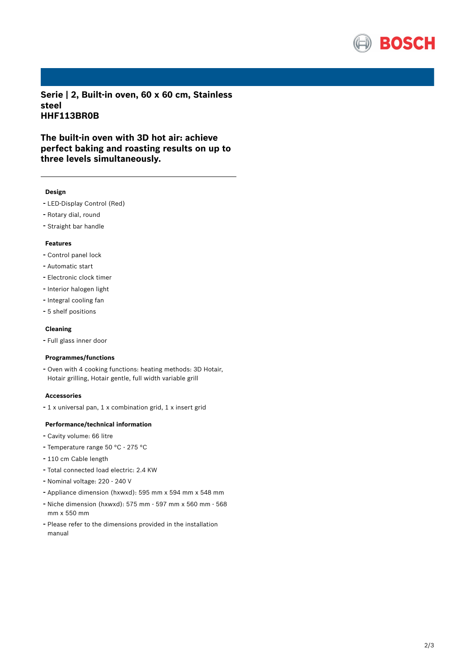

**Serie | 2, Built-in oven, 60 x 60 cm, Stainless steel HHF113BR0B**

**The built-in oven with 3D hot air: achieve perfect baking and roasting results on up to three levels simultaneously.**

#### **Design**

- LED-Display Control (Red)
- Rotary dial, round
- Straight bar handle

### **Features**

- Control panel lock
- Automatic start
- Electronic clock timer
- Interior halogen light
- Integral cooling fan
- 5 shelf positions

#### **Cleaning**

- Full glass inner door

#### **Programmes/functions**

- Oven with <sup>4</sup> cooking functions: heating methods: 3D Hotair, Hotair grilling, Hotair gentle, full width variable grill

#### **Accessories**

- <sup>1</sup> <sup>x</sup> universal pan, <sup>1</sup> <sup>x</sup> combination grid, <sup>1</sup> <sup>x</sup> insert grid

### **Performance/technical information**

- Cavity volume: <sup>66</sup> litre
- Temperature range <sup>50</sup> °C <sup>275</sup> °C
- <sup>110</sup> cm Cable length
- Total connected load electric: 2.4 KW
- Nominal voltage: <sup>220</sup> <sup>240</sup> <sup>V</sup>
- Appliance dimension (hxwxd): 595 mm x 594 mm x 548 mm
- Niche dimension (hxwxd): <sup>575</sup> mm <sup>597</sup> mm <sup>x</sup> <sup>560</sup> mm <sup>568</sup> mm x 550 mm
- Please refer to the dimensions provided in the installation manual